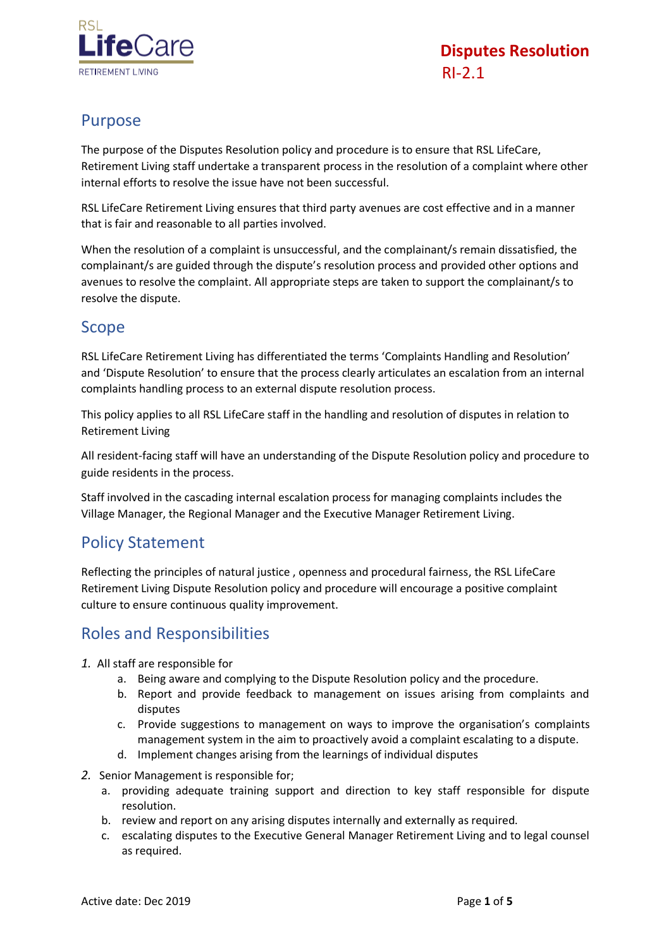

## Purpose

The purpose of the Disputes Resolution policy and procedure is to ensure that RSL LifeCare, Retirement Living staff undertake a transparent process in the resolution of a complaint where other internal efforts to resolve the issue have not been successful.

RSL LifeCare Retirement Living ensures that third party avenues are cost effective and in a manner that is fair and reasonable to all parties involved.

When the resolution of a complaint is unsuccessful, and the complainant/s remain dissatisfied, the complainant/s are guided through the dispute's resolution process and provided other options and avenues to resolve the complaint. All appropriate steps are taken to support the complainant/s to resolve the dispute.

#### Scope

RSL LifeCare Retirement Living has differentiated the terms 'Complaints Handling and Resolution' and 'Dispute Resolution' to ensure that the process clearly articulates an escalation from an internal complaints handling process to an external dispute resolution process.

This policy applies to all RSL LifeCare staff in the handling and resolution of disputes in relation to Retirement Living

All resident-facing staff will have an understanding of the Dispute Resolution policy and procedure to guide residents in the process.

Staff involved in the cascading internal escalation process for managing complaints includes the Village Manager, the Regional Manager and the Executive Manager Retirement Living.

#### Policy Statement

Reflecting the principles of natural justice , openness and procedural fairness, the RSL LifeCare Retirement Living Dispute Resolution policy and procedure will encourage a positive complaint culture to ensure continuous quality improvement.

## Roles and Responsibilities

- *1.* All staff are responsible for
	- a. Being aware and complying to the Dispute Resolution policy and the procedure.
	- b. Report and provide feedback to management on issues arising from complaints and disputes
	- c. Provide suggestions to management on ways to improve the organisation's complaints management system in the aim to proactively avoid a complaint escalating to a dispute.
	- d. Implement changes arising from the learnings of individual disputes
- *2.* Senior Management is responsible for;
	- a. providing adequate training support and direction to key staff responsible for dispute resolution.
	- b. review and report on any arising disputes internally and externally as required.
	- c. escalating disputes to the Executive General Manager Retirement Living and to legal counsel as required.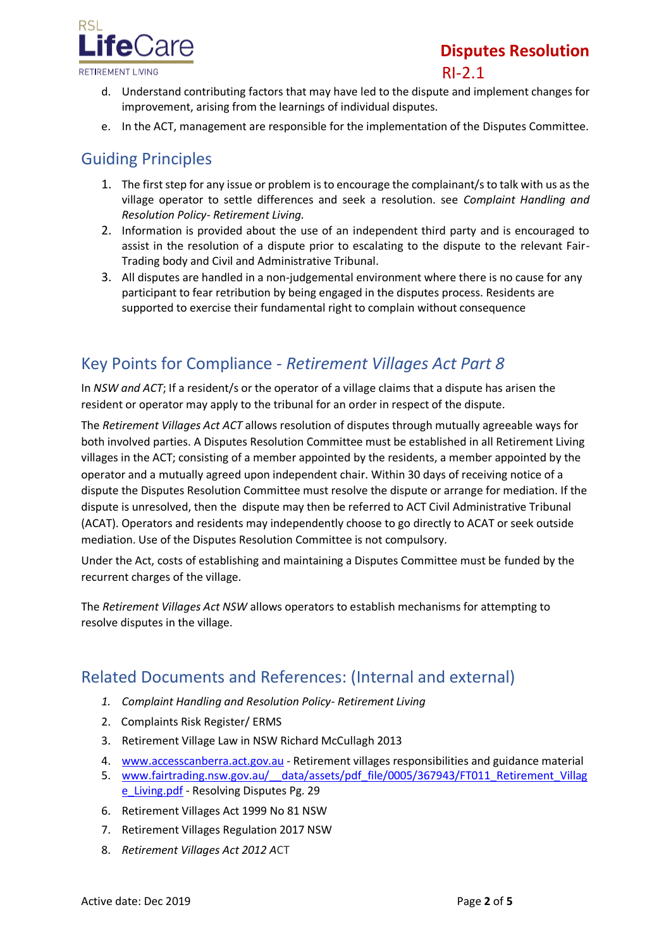

# **Disputes Resolution**  $R1-2.1$

- d. Understand contributing factors that may have led to the dispute and implement changes for improvement, arising from the learnings of individual disputes.
- e. In the ACT, management are responsible for the implementation of the Disputes Committee.

## Guiding Principles

- 1. The first step for any issue or problem is to encourage the complainant/s to talk with us as the village operator to settle differences and seek a resolution. see *Complaint Handling and Resolution Policy- Retirement Living.*
- 2. Information is provided about the use of an independent third party and is encouraged to assist in the resolution of a dispute prior to escalating to the dispute to the relevant Fair-Trading body and Civil and Administrative Tribunal.
- 3. All disputes are handled in a non-judgemental environment where there is no cause for any participant to fear retribution by being engaged in the disputes process. Residents are supported to exercise their fundamental right to complain without consequence

# Key Points for Compliance - *Retirement Villages Act Part 8*

In *NSW and ACT*; If a resident/s or the operator of a village claims that a dispute has arisen the resident or operator may apply to the tribunal for an order in respect of the dispute.

The *Retirement Villages Act ACT* allows resolution of disputes through mutually agreeable ways for both involved parties. A Disputes Resolution Committee must be established in all Retirement Living villages in the ACT; consisting of a member appointed by the residents, a member appointed by the operator and a mutually agreed upon independent chair. Within 30 days of receiving notice of a dispute the Disputes Resolution Committee must resolve the dispute or arrange for mediation. If the dispute is unresolved, then the dispute may then be referred to ACT Civil Administrative Tribunal (ACAT). Operators and residents may independently choose to go directly to ACAT or seek outside mediation. Use of the Disputes Resolution Committee is not compulsory.

Under the Act, costs of establishing and maintaining a Disputes Committee must be funded by the recurrent charges of the village.

The *Retirement Villages Act NSW* allows operators to establish mechanisms for attempting to resolve disputes in the village.

#### Related Documents and References: (Internal and external)

- *1. Complaint Handling and Resolution Policy- Retirement Living*
- 2. Complaints Risk Register/ ERMS
- 3. Retirement Village Law in NSW Richard McCullagh 2013
- 4. [www.accesscanberra.act.gov.au](http://www.accesscanberra.act.gov.au/) Retirement villages responsibilities and guidance material
- 5. www.fairtrading.nsw.gov.au/ data/assets/pdf file/0005/367943/FT011 Retirement Villag e Living.pdf - Resolving Disputes Pg. 29
- 6. Retirement Villages Act 1999 No 81 NSW
- 7. Retirement Villages Regulation 2017 NSW
- 8. *Retirement [Villages Act 2012](http://www.legislation.act.gov.au/a/2012-38/default.asp) A*CT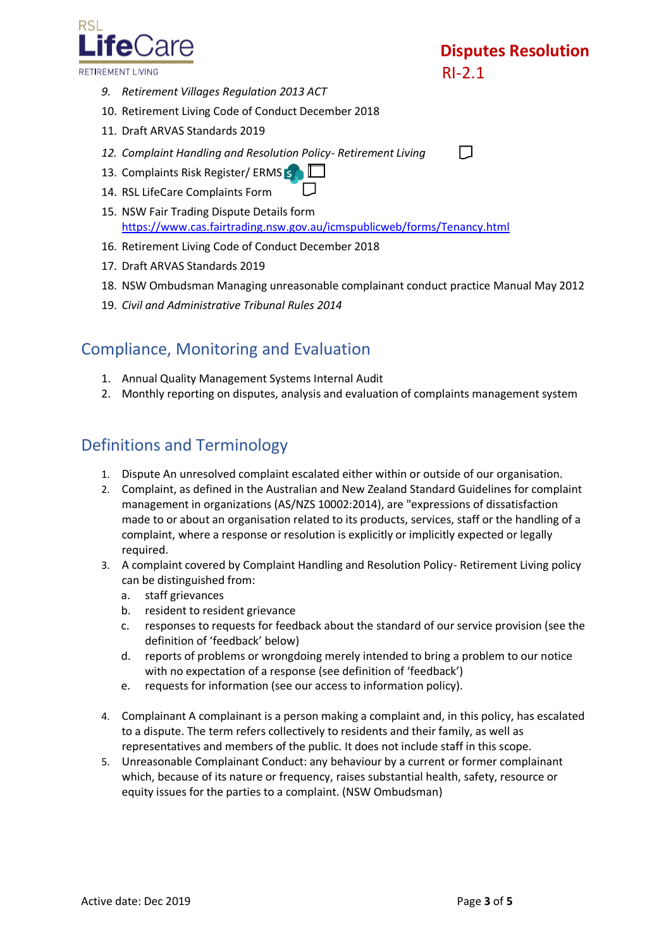

- *9. Retirement Villages Regulation 2013 ACT*
- 10. Retirement Living Code of Conduct December 2018
- 11. Draft ARVAS Standards 2019
- *12. Complaint Handling and Resolution Policy- Retirement Living*
- 13.Complaints Risk Register/ ERMS S
- 14. RSL LifeCare Complaints Form
- 15. NSW Fair Trading Dispute Details form <https://www.cas.fairtrading.nsw.gov.au/icmspublicweb/forms/Tenancy.html>
- 16. Retirement Living Code of Conduct December 2018
- 17. Draft ARVAS Standards 2019
- 18. NSW Ombudsman Managing unreasonable complainant conduct practice Manual May 2012
- 19. *Civil and Administrative Tribunal Rules 2014*

## Compliance, Monitoring and Evaluation

- 1. Annual Quality Management Systems Internal Audit
- 2. Monthly reporting on disputes, analysis and evaluation of complaints management system

#### Definitions and Terminology

- 1. Dispute An unresolved complaint escalated either within or outside of our organisation.
- 2. Complaint, as defined in the Australian and New Zealand Standard Guidelines for complaint management in organizations (AS/NZS 10002:2014), are "expressions of dissatisfaction made to or about an organisation related to its products, services, staff or the handling of a complaint, where a response or resolution is explicitly or implicitly expected or legally required.
- 3. A complaint covered by Complaint Handling and Resolution Policy- Retirement Living policy can be distinguished from:
	- a. staff grievances
	- b. resident to resident grievance
	- c. responses to requests for feedback about the standard of our service provision (see the definition of 'feedback' below)
	- d. reports of problems or wrongdoing merely intended to bring a problem to our notice with no expectation of a response (see definition of 'feedback')
	- e. requests for information (see our access to information policy).
- 4. Complainant A complainant is a person making a complaint and, in this policy, has escalated to a dispute. The term refers collectively to residents and their family, as well as representatives and members of the public. It does not include staff in this scope.
- 5. Unreasonable Complainant Conduct: any behaviour by a current or former complainant which, because of its nature or frequency, raises substantial health, safety, resource or equity issues for the parties to a complaint. (NSW Ombudsman)

 $\Box$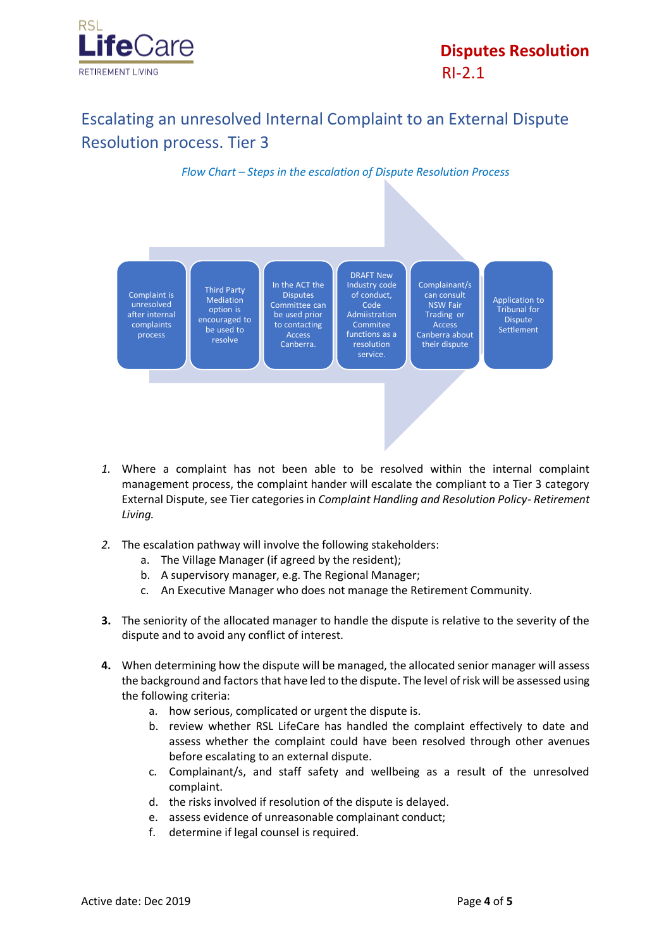

# Escalating an unresolved Internal Complaint to an External Dispute Resolution process. Tier 3

*Flow Chart – Steps in the escalation of Dispute Resolution Process*



- *1.* Where a complaint has not been able to be resolved within the internal complaint management process, the complaint hander will escalate the compliant to a Tier 3 category External Dispute, see Tier categories in *Complaint Handling and Resolution Policy- Retirement Living.*
- *2.* The escalation pathway will involve the following stakeholders:
	- a. The Village Manager (if agreed by the resident);
	- b. A supervisory manager, e.g. The Regional Manager;
	- c. An Executive Manager who does not manage the Retirement Community.
- **3.** The seniority of the allocated manager to handle the dispute is relative to the severity of the dispute and to avoid any conflict of interest.
- **4.** When determining how the dispute will be managed, the allocated senior manager will assess the background and factors that have led to the dispute. The level of risk will be assessed using the following criteria:
	- a. how serious, complicated or urgent the dispute is.
	- b. review whether RSL LifeCare has handled the complaint effectively to date and assess whether the complaint could have been resolved through other avenues before escalating to an external dispute.
	- c. Complainant/s, and staff safety and wellbeing as a result of the unresolved complaint.
	- d. the risks involved if resolution of the dispute is delayed.
	- e. assess evidence of unreasonable complainant conduct;
	- f. determine if legal counsel is required.